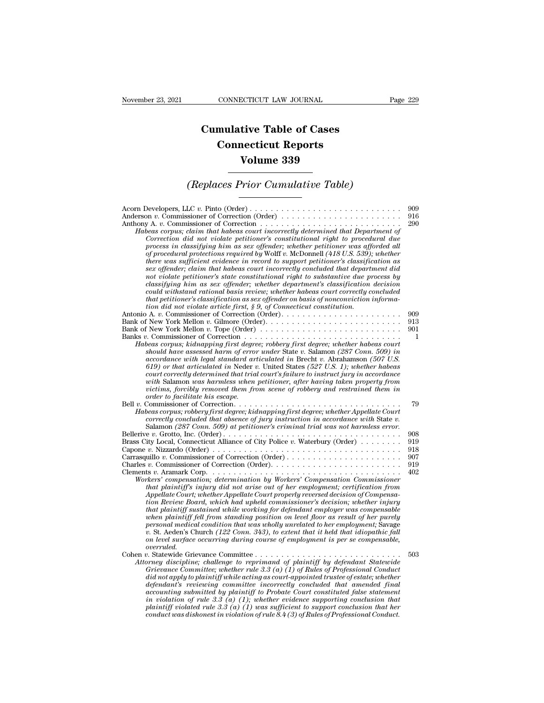## **CONNECTICUT LAW JOURNAL**<br> **Cumulative Table of Cases<br>
Connecticut Reports CONNECTICUT LAW JOURNAL**<br> **CONNECTICUT LAW JOURNAL**<br> **CONNECTICUT Reports<br>
Volume 339 ECTICUT LAW JOURNAL**<br> **Volume 339**<br> **Volume 339**<br> **Volume 339 Cumulative Table of Cases<br>
Connecticut Reports<br>
Volume 339<br>
(Replaces Prior Cumulative Table)**<br> **CEP** Prior Cumulative Table)

## *(Replaces Prior Cumulative Table)*

| Volume 339                                                                                                                                                                                                                                                                                                                                                                                                                                                                                                                                                                                                                                                                                                                                                                                                                                                                                                                                                                                                                                                                                                                                                              |                                        |
|-------------------------------------------------------------------------------------------------------------------------------------------------------------------------------------------------------------------------------------------------------------------------------------------------------------------------------------------------------------------------------------------------------------------------------------------------------------------------------------------------------------------------------------------------------------------------------------------------------------------------------------------------------------------------------------------------------------------------------------------------------------------------------------------------------------------------------------------------------------------------------------------------------------------------------------------------------------------------------------------------------------------------------------------------------------------------------------------------------------------------------------------------------------------------|----------------------------------------|
| (Replaces Prior Cumulative Table)                                                                                                                                                                                                                                                                                                                                                                                                                                                                                                                                                                                                                                                                                                                                                                                                                                                                                                                                                                                                                                                                                                                                       |                                        |
| Anderson v. Commissioner of Correction (Order)<br>Anthony A. v. Commissioner of Correction $\dots \dots \dots \dots \dots \dots \dots \dots \dots \dots \dots$<br>Habeas corpus; claim that habeas court incorrectly determined that Department of<br>Correction did not violate petitioner's constitutional right to procedural due<br>process in classifying him as sex offender; whether petitioner was afforded all<br>of procedural protections required by Wolff v. McDonnell (418 U.S. 539); whether<br>there was sufficient evidence in record to support petitioner's classification as<br>sex offender; claim that habeas court incorrectly concluded that department did<br>not violate petitioner's state constitutional right to substantive due process by<br>classifying him as sex offender; whether department's classification decision<br>could withstand rational basis review; whether habeas court correctly concluded<br>that petitioner's classification as sex offender on basis of nonconviction informa-                                                                                                                                     | 909<br>916<br>290                      |
| tion did not violate article first, $\S 9$ , of Connecticut constitution.<br>Bank of New York Mellon v. Tope (Order) $\ldots \ldots \ldots \ldots \ldots \ldots \ldots \ldots \ldots$<br>Habeas corpus; kidnapping first degree; robbery first degree; whether habeas court<br>should have assessed harm of error under State v. Salamon (287 Conn. 509) in<br>accordance with legal standard articulated in Brecht v. Abrahamson (507 U.S.<br>619) or that articulated in Neder v. United States (527 U.S. 1); whether habeas<br>court correctly determined that trial court's failure to instruct jury in accordance<br>with Salamon was harmless when petitioner, after having taken property from<br>victims, forcibly removed them from scene of robbery and restrained them in<br>order to facilitate his escape.                                                                                                                                                                                                                                                                                                                                                 | 909<br>913<br>901<br>1                 |
| Habeas corpus; robbery first degree; kidnapping first degree; whether Appellate Court<br>correctly concluded that absence of jury instruction in accordance with State v.<br>Salamon (287 Conn. 509) at petitioner's criminal trial was not harmless error.                                                                                                                                                                                                                                                                                                                                                                                                                                                                                                                                                                                                                                                                                                                                                                                                                                                                                                             | 79                                     |
| Brass City Local, Connecticut Alliance of City Police v. Waterbury (Order)<br>Capone v. Nizzardo (Order) $\ldots \ldots \ldots \ldots \ldots \ldots \ldots \ldots \ldots \ldots \ldots \ldots \ldots$<br>Carrasquillo v. Commissioner of Correction (Order)<br>Clements v. Aramark Corp. $\dots \dots \dots \dots \dots \dots \dots \dots \dots \dots \dots \dots \dots \dots \dots$<br>Workers' compensation; determination by Workers' Compensation Commissioner<br>that plaintiff's injury did not arise out of her employment; certification from<br>Appellate Court; whether Appellate Court properly reversed decision of Compensa-<br>tion Review Board, which had upheld commissioner's decision; whether injury<br>that plaintiff sustained while working for defendant employer was compensable<br>when plaintiff fell from standing position on level floor as result of her purely<br>personal medical condition that was wholly unrelated to her employment; Savage<br>v. St. Aeden's Church $(122$ Conn. 343), to extent that it held that idiopathic fall<br>on level surface occurring during course of employment is per se compensable,<br>overruled. | 908<br>919<br>918<br>907<br>919<br>402 |
| $v.$ Statewide Grievance Committee<br>Attorney discipline; challenge to reprimand of plaintiff by defendant Statewide<br>Grievance Committee; whether rule 3.3 (a) (1) of Rules of Professional Conduct<br>did not apply to plaintiff while acting as court-appointed trustee of estate; whether<br>defendant's reviewing committee incorrectly concluded that amended final<br>accounting submitted by plaintiff to Probate Court constituted false statement<br>in violation of rule 3.3 (a) $(1)$ ; whether evidence supporting conclusion that<br>plaintiff violated rule 3.3 (a) (1) was sufficient to support conclusion that her<br>conduct was dishonest in violation of rule $8.4(3)$ of Rules of Professional Conduct.                                                                                                                                                                                                                                                                                                                                                                                                                                        | 503                                    |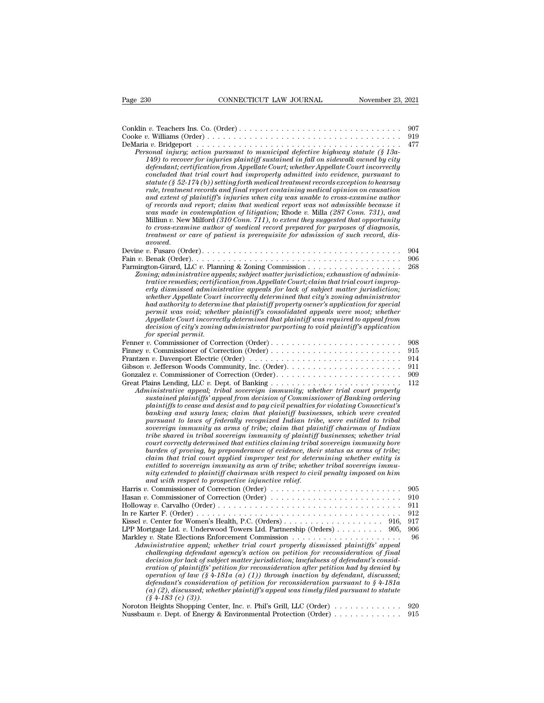| Page 230<br>CONNECTICUT LAW JOURNAL<br>November 23, 2021                                                                                                                                                                                                                                                                                                                                                                                                                                                                                                                                                                                                                                                                                                                                                                                                                                                                                                                                                                                                                                                                                                                                    |            |
|---------------------------------------------------------------------------------------------------------------------------------------------------------------------------------------------------------------------------------------------------------------------------------------------------------------------------------------------------------------------------------------------------------------------------------------------------------------------------------------------------------------------------------------------------------------------------------------------------------------------------------------------------------------------------------------------------------------------------------------------------------------------------------------------------------------------------------------------------------------------------------------------------------------------------------------------------------------------------------------------------------------------------------------------------------------------------------------------------------------------------------------------------------------------------------------------|------------|
|                                                                                                                                                                                                                                                                                                                                                                                                                                                                                                                                                                                                                                                                                                                                                                                                                                                                                                                                                                                                                                                                                                                                                                                             | 907<br>919 |
| Personal injury; action pursuant to municipal defective highway statute (§ 13a-<br>149) to recover for injuries plaintiff sustained in fall on sidewalk owned by city<br>defendant; certification from Appellate Court; whether Appellate Court incorrectly<br>concluded that trial court had improperly admitted into evidence, pursuant to<br>statute (§ 52-174 (b)) setting forth medical treatment records exception to hearsay<br>rule, treatment records and final report containing medical opinion on causation<br>and extent of plaintiff's injuries when city was unable to cross-examine author<br>of records and report; claim that medical report was not admissible because it<br>was made in contemplation of litigation; Rhode v. Milla (287 Conn. 731), and<br>Milliun v. New Milford $(310 \text{ Conn. } 711)$ , to extent they suggested that opportunity<br>to cross-examine author of medical record prepared for purposes of diagnosis,<br>treatment or care of patient is prerequisite for admission of such record, dis-<br>avowed.                                                                                                                                | 477        |
|                                                                                                                                                                                                                                                                                                                                                                                                                                                                                                                                                                                                                                                                                                                                                                                                                                                                                                                                                                                                                                                                                                                                                                                             | 904        |
| Zoning; administrative appeals; subject matter jurisdiction; exhaustion of adminis-<br>trative remedies; certification from Appellate Court; claim that trial court improp-<br>erly dismissed administrative appeals for lack of subject matter jurisdiction;<br>whether Appellate Court incorrectly determined that city's zoning administrator<br>had authority to determine that plaintiff property owner's application for special<br>permit was void; whether plaintiff's consolidated appeals were moot; whether<br>Appellate Court incorrectly determined that plaintiff was required to appeal from<br>decision of city's zoning administrator purporting to void plaintiff's application<br>for special permit.                                                                                                                                                                                                                                                                                                                                                                                                                                                                    | 906<br>268 |
|                                                                                                                                                                                                                                                                                                                                                                                                                                                                                                                                                                                                                                                                                                                                                                                                                                                                                                                                                                                                                                                                                                                                                                                             | 908        |
| Frantzen v. Davenport Electric (Order) $\dots \dots \dots \dots \dots \dots \dots \dots \dots \dots \dots$                                                                                                                                                                                                                                                                                                                                                                                                                                                                                                                                                                                                                                                                                                                                                                                                                                                                                                                                                                                                                                                                                  | 915<br>914 |
| Gibson v. Jefferson Woods Community, Inc. (Order). $\dots \dots \dots \dots \dots \dots \dots \dots$                                                                                                                                                                                                                                                                                                                                                                                                                                                                                                                                                                                                                                                                                                                                                                                                                                                                                                                                                                                                                                                                                        | 911        |
|                                                                                                                                                                                                                                                                                                                                                                                                                                                                                                                                                                                                                                                                                                                                                                                                                                                                                                                                                                                                                                                                                                                                                                                             | 909        |
| Administrative appeal; tribal sovereign immunity; whether trial court properly<br>sustained plaintiffs' appeal from decision of Commissioner of Banking ordering<br>plaintiffs to cease and desist and to pay civil penalties for violating Connecticut's<br>banking and usury laws; claim that plaintiff businesses, which were created<br>pursuant to laws of federally recognized Indian tribe, were entitled to tribal<br>sovereign immunity as arms of tribe; claim that plaintiff chairman of Indian<br>tribe shared in tribal sovereign immunity of plaintiff businesses; whether trial<br>court correctly determined that entities claiming tribal sovereign immunity bore<br>burden of proving, by preponderance of evidence, their status as arms of tribe;<br>claim that trial court applied improper test for determining whether entity is<br>entitled to sovereign immunity as arm of tribe; whether tribal sovereign immu-<br>nity extended to plaintiff chairman with respect to civil penalty imposed on him<br>and with respect to prospective injunctive relief.<br>Harris v. Commissioner of Correction (Order) $\dots \dots \dots \dots \dots \dots \dots \dots \dots$ | 112<br>905 |
|                                                                                                                                                                                                                                                                                                                                                                                                                                                                                                                                                                                                                                                                                                                                                                                                                                                                                                                                                                                                                                                                                                                                                                                             | 910        |
|                                                                                                                                                                                                                                                                                                                                                                                                                                                                                                                                                                                                                                                                                                                                                                                                                                                                                                                                                                                                                                                                                                                                                                                             | 911        |
|                                                                                                                                                                                                                                                                                                                                                                                                                                                                                                                                                                                                                                                                                                                                                                                                                                                                                                                                                                                                                                                                                                                                                                                             | 912        |
| 916,<br>LPP Mortgage Ltd. v. Underwood Towers Ltd. Partnership (Orders) $\dots \dots \dots$ 905,                                                                                                                                                                                                                                                                                                                                                                                                                                                                                                                                                                                                                                                                                                                                                                                                                                                                                                                                                                                                                                                                                            | 917<br>906 |
| Markley v. State Elections Enforcement Commission $\ldots$ , , , , ,<br>Administrative appeal; whether trial court properly dismissed plaintiffs' appeal<br>challenging defendant agency's action on petition for reconsideration of final<br>decision for lack of subject matter jurisdiction; lawfulness of defendant's consid-<br>eration of plaintiffs' petition for reconsideration after petition had by denied by<br>operation of law $(\frac{1}{2} + 181a(a)(1))$ through inaction by defendant, discussed;<br>defendant's consideration of petition for reconsideration pursuant to $§ 4-181a$<br>(a) (2), discussed; whether plaintiff's appeal was timely filed pursuant to statute<br>$(\S 4-183$ (c) (3)).                                                                                                                                                                                                                                                                                                                                                                                                                                                                     | 96         |
| Noroton Heights Shopping Center, Inc. v. Phil's Grill, LLC (Order)                                                                                                                                                                                                                                                                                                                                                                                                                                                                                                                                                                                                                                                                                                                                                                                                                                                                                                                                                                                                                                                                                                                          | 920<br>915 |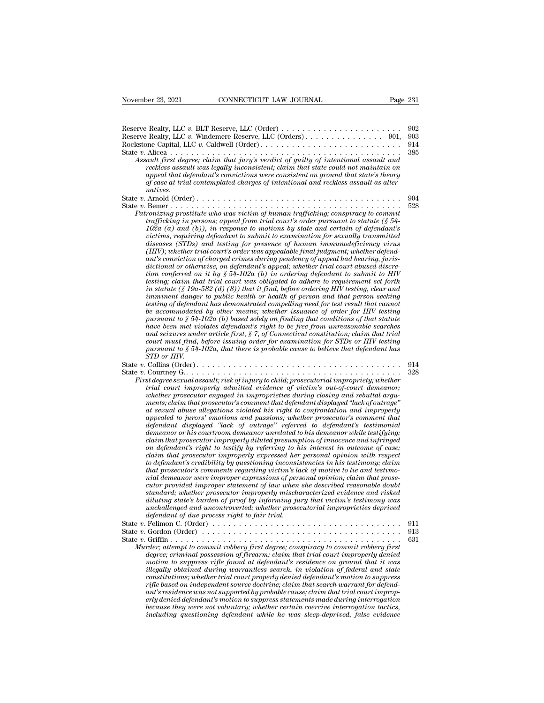| November 23, 2021<br>CONNECTICUT LAW JOURNAL                                                                                                                                                                                                                                                                                                                                                                                                                                                                                                                                                                                                                                                                                                                                                                                                                                                                                                                                                                                                                                                                                                                                                                                                                                                                                                                                                                                                                                                                                                                                                                                                                          | Page 231                 |
|-----------------------------------------------------------------------------------------------------------------------------------------------------------------------------------------------------------------------------------------------------------------------------------------------------------------------------------------------------------------------------------------------------------------------------------------------------------------------------------------------------------------------------------------------------------------------------------------------------------------------------------------------------------------------------------------------------------------------------------------------------------------------------------------------------------------------------------------------------------------------------------------------------------------------------------------------------------------------------------------------------------------------------------------------------------------------------------------------------------------------------------------------------------------------------------------------------------------------------------------------------------------------------------------------------------------------------------------------------------------------------------------------------------------------------------------------------------------------------------------------------------------------------------------------------------------------------------------------------------------------------------------------------------------------|--------------------------|
| Reserve Realty, LLC v. Windemere Reserve, LLC (Orders) 901,<br>Assault first degree; claim that jury's verdict of guilty of intentional assault and<br>reckless assault was legally inconsistent; claim that state could not maintain on<br>appeal that defendant's convictions were consistent on ground that state's theory<br>of case at trial contemplated charges of intentional and reckless assault as alter-                                                                                                                                                                                                                                                                                                                                                                                                                                                                                                                                                                                                                                                                                                                                                                                                                                                                                                                                                                                                                                                                                                                                                                                                                                                  | 902<br>903<br>914<br>385 |
| natives.<br>Patronizing prostitute who was victim of human trafficking; conspiracy to commit<br>trafficking in persons; appeal from trial court's order pursuant to statute $(\S 54-$<br>$102a$ (a) and (b)), in response to motions by state and certain of defendant's<br>victims, requiring defendant to submit to examination for sexually transmitted<br>diseases (STDs) and testing for presence of human immunodeficiency virus<br>(HIV); whether trial court's order was appealable final judgment; whether defend-<br>ant's conviction of charged crimes during pendency of appeal had bearing, juris-<br>dictional or otherwise, on defendant's appeal; whether trial court abused discre-<br>tion conferred on it by $\S 54$ -102a (b) in ordering defendant to submit to HIV<br>testing; claim that trial court was obligated to adhere to requirement set forth<br>in statute (§ 19a-582 (d) (8)) that it find, before ordering HIV testing, clear and<br>imminent danger to public health or health of person and that person seeking<br>testing of defendant has demonstrated compelling need for test result that cannot<br>be accommodated by other means; whether issuance of order for HIV testing<br>pursuant to $\S 54$ -102a (b) based solely on finding that conditions of that statute<br>have been met violates defendant's right to be free from unreasonable searches<br>and seizures under article first, $\S$ 7, of Connecticut constitution; claim that trial<br>court must find, before issuing order for examination for STDs or HIV testing<br>pursuant to $\S 54$ -102a, that there is probable cause to believe that defendant has | 904<br>528               |
| STD or HIV.<br>First degree sexual assault; risk of injury to child; prosecutorial impropriety; whether<br>trial court improperly admitted evidence of victim's out-of-court demeanor;<br>whether prosecutor engaged in improprieties during closing and rebuttal argu-<br>ments; claim that prosecutor's comment that defendant displayed "lack of outrage"<br>at sexual abuse allegations violated his right to confrontation and improperly<br>appealed to jurors' emotions and passions; whether prosecutor's comment that<br>defendant displayed "lack of outrage" referred to defendant's testimonial<br>demeanor or his courtroom demeanor unrelated to his demeanor while testifying;<br>claim that prosecutor improperly diluted presumption of innocence and infringed<br>on defendant's right to testify by referring to his interest in outcome of case;<br>claim that prosecutor improperly expressed her personal opinion with respect<br>to defendant's credibility by questioning inconsistencies in his testimony; claim<br>that prosecutor's comments regarding victim's lack of motive to lie and testimo-<br>nial demeanor were improper expressions of personal opinion; claim that prose-<br>cutor provided improper statement of law when she described reasonable doubt<br>standard; whether prosecutor improperly mischaracterized evidence and risked<br>diluting state's burden of proof by informing jury that victim's testimony was<br>unchallenged and uncontroverted; whether prosecutorial improprieties deprived                                                                                                                    | 914<br>328               |
| defendant of due process right to fair trial.<br>State v. Gordon (Order) $\dots \dots \dots \dots \dots \dots \dots \dots \dots \dots \dots \dots \dots \dots \dots$<br>Murder; attempt to commit robbery first degree; conspiracy to commit robbery first<br>degree; criminal possession of firearm; claim that trial court improperly denied<br>motion to suppress rifle found at defendant's residence on ground that it was<br>illegally obtained during warrantless search, in violation of federal and state<br>constitutions; whether trial court properly denied defendant's motion to suppress<br>rifle based on independent source doctrine; claim that search warrant for defend-<br>ant's residence was not supported by probable cause; claim that trial court improp-<br>erly denied defendant's motion to suppress statements made during interrogation<br>because they were not voluntary; whether certain coercive interrogation tactics,<br>including questioning defendant while he was sleep-deprived, false evidence                                                                                                                                                                                                                                                                                                                                                                                                                                                                                                                                                                                                                             | 911<br>913<br>631        |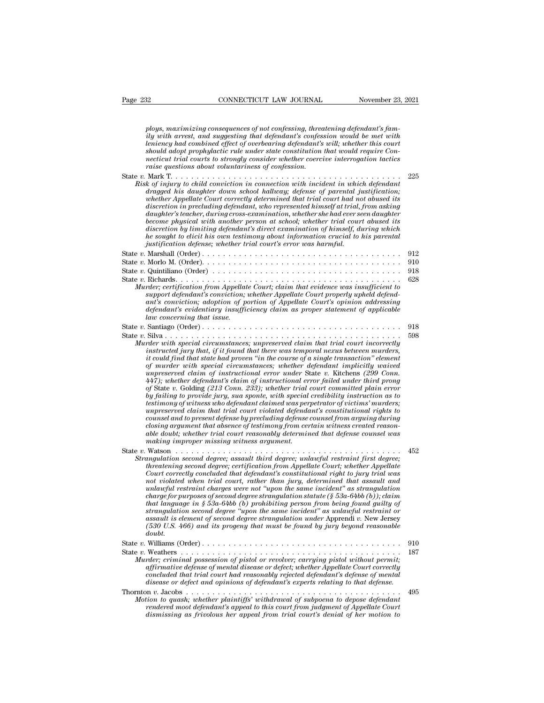*ploys, maximizing consequences of not confessing, threatening defendant's fam-*<br>*ploys, maximizing consequences of not confessing, threatening defendant's fam-*<br>*ily with arrest, and suggesting that defendant's confession* <sup>23</sup><br> *ily maximizing consequences of not confessing, threatening defendant's family with arrest, and suggesting that defendant's confession would be met with<br>
<i>ily with arrest, and suggesting that defendant's confession w* **lending the CONNECTICUT LAW JOURNAL** Movember 23, 2021<br>*ploys, maximizing consequences of not confessing, threatening defendant's family with arrest, and suggesting that defendant's confession would be met with<br>leniency h shows* and *show constitution that industry and adopt prophylactic rule prophylactic prophylactic prophylactic rule under state confession would be met with the<br>intency had combined effect of overbearing defendant's will;* ploys, maximizing consequences of not confessing, threatening defendant's family with arrest, and suggesting that defendant's confession would be met with leniency had combined effect of overbearing defendant's will; wheth ploys, maximizing consequences of not confessing, threatening defendant's family with arrest, and suggesting that defendant's confession would be met with leniency had combined effect of overbearing defendant's will; wheth ploys, maximizing consequences of not confessing, threatening defendant's family with arrest, and suggesting that defendant's confession would be met with leniency had combined effect of overbearing defendant's will; wheth *Fings, maximizing consiguents of not conjessing, interaing defendant's confession would be met with*<br>leniency had combined effect of overbearing defendant's will; whether this court<br>should adopt prophylactic rule under st *dragged his daughter down school hallway; defendant with the minimal defect of overbearing defendant's will; whether this court*<br>should adopt prophylactic rule under state constitution that would require Con-<br>necticut tri *whether had convinied effects of overlocal ing determined adopt prophylactic rule under state constitution that would require Connecticut trial courts to strongly consider whether coercive interrogation tactics*<br>raise que *discretion in prefluents in the time since constraints at the discretion in acticul trial courts to strongly consider whether coercive interrogation tactics*<br>raise questions about voluntariness of confession.<br>Mark T. . . *distant introduced in strongy consuler adeller coeffered interrogation tactics*<br> $\alpha$  and  $\alpha$  and  $\alpha$  and  $\alpha$  and  $\alpha$  and  $\alpha$  and  $\alpha$  and  $\alpha$  and  $\alpha$  and  $\alpha$  and  $\alpha$  and  $\alpha$  and  $\alpha$  and  $\alpha$  and  $\alpha$  and  $\alpha$  a *become physical with another person at school;* when  $\mathbf{r}_1$  and  $\mathbf{r}_2$  and  $\mathbf{r}_3$  and  $\mathbf{r}_4$  are  $\mathbf{r}_5$  and  $\mathbf{r}_6$  and  $\mathbf{r}_7$  are  $\mathbf{r}_7$  and  $\mathbf{r}_8$  and  $\mathbf{r}_9$  are  $\mathbf{r}_8$  and  $\mathbf{r}_9$  are *discretion by considential conviction in connection with incident in which defendant*<br>*dingged his daughter down school hallway; defense of parental justification;*<br>*dingged his daughter down school hallway; defense of pa he sought to chuld conviction in connection with incident in which defendant* dragged his daughter down school hallway; defense of parental justification; whether Appellate Court correctly determined that trial court had *dragged has daughter down school hallway; defense of parental justifier Appellate Court correctly determined that trial court had noticalizertion in precluding defendant, who represented himself at trial, daughter's teach* discretion in precluding defendant, who represented himself at trial, from asking<br>daughter's teacher, during cross-examination, whether she had ever seen daughter<br>become physical with another person at school; whether tria daughter's teacher, during cross-examination, whether she had ever seen daughter<br>become physical with another person at school; whether trial court abused its<br>discretion by limiting defendant's direct examination of himsel become physical with another person at school; whether trial court abused its<br>discretion by limiting defendant's direct examination of himself, during which<br>he sought to elicit his own testimony about information crucial t discretion by limiting defendant's direct examination of himself, during which<br>he sought to elicit his own testimony about information crucial to his parental<br>justification defense, whether trial court's error was harmful. *Murder; certification form Appellate Court; claim that evidence was insufficient to*<br>*Murder; certification from Appellate Court; claim that evidence was insufficient to*<br>*Wurder; certification from Appellate Court; claim support defendant's conviction; whether Appellate Court properly upheld defendant's conviction; adoption of portion of Appellate Court's opinion addressing defendant defendant defendant defendant defendant defendant defendant defendant defendant defendant defendant defendant defendant defendant defendant defendant defendants conviction*, *wh lawrenceries certification from Appellate Court; claim that evidence was insufficient to support defendant's conviction; whether Appellate Court properly upheld defendant's conviction; adoption of portion of Appellate Cou* State *<sup>v</sup>*. Santiago (Order) . . . . . . . . . . . . . . . . . . . . . . . . . . . . . . . . . . . . . . <sup>918</sup> Murder; certification from Appellate Court; claim that evidence was insufficient to<br>support defendant's conviction; whether Appellate Court properly upheld defend-<br>ant's conviction; adoption of portion of Appellate Court's *Murder with sconviction, whether Appellate Court properly upheld defendant's conviction, adoption of portion of Appellate Court's opinion addressing defendant's evidentiary insufficiency claim as proper statement of appli instruction, adoption of portion of Appellate Court's opinion addressing*<br>defendant's evidentiary insufficiency claim as proper statement of applicable<br>law concerning that issue.<br>Santiago (Order).......................... *it could find that state had proven ''in the course of a single transaction'' element For murder with special circumstances; whereas temporal circumstances; where with special circumstances; where we is much special circumstances; where with that trial court incorrectly instructed jury that, if it found th* **unitago (Order)**<br> **unitago (Order)**<br> **unitago (Order)**<br> **unitago (Order)**<br> **unitago claim of instructed claim in the course of a single transaction incorrectly<br>
instructed jury that, if it found that there was temporal ne** <sup>447</sup>); whether defendant's claim of instructional error failed under the failure of material circumstances; unpreserved claim that trial court incorrectly instructed jury that, if it found that there was temporal nexus be *of* State *v.* Golding *(213 Conn. 233); whether trial court committed plain error* rder with special circumstances; unpreserved claim that trial court incorrectly<br>instructed jury that, if it found that there was temporal nexus between murders,<br>it could find that state had proven "in the course of a singl *the could find that state had proven "in the course of a single transaction" element* it could find that state had proven "in the course of a single transaction" element of murder with special circumstances; whether defen *ut could find that state had proven "in the course of a single transaction" element* of murder with special circumstances; whether defendant implicitly waived  $447$ ); whether defendant's claim of instructional error faile of murder with special circumstances; whether defendant implicitly waved<br>unpreserved claim of instructional error under State v. Kitchens (299 Conn.<br>447); whether defendant's claim of instructional error failed under third *compreserved claim of instructional error under State v. Kitchens (299 Conn.*<br>447); whether defendant's claim of instructional error failed under third prong<br>of State v. Golding (213 Conn. 233); whether trial court commit 447); whether defendant's claim of instructional error jailed under third prong<br>of State v. Golding (213 Conn. 233); whether trial court committed plain error<br>by failing to provide jury, sua sponte, with special credibilit *making (213 Conn. 233); whether trial court committed plain error* by failing to provide jury, sua sponte, with special credibility instruction as to testimony of witness who defendant claimed was perpetrator of victims' by suring to protein a second of prices who defendant claimed was perpetrator of victims' murders;<br>testimony of witness who defendant claimed was perpetrator of victims' murders;<br>unpreserved claim that trial court violated *Strangulation second degree; and well selected the second of entired mapperserved claim that trial court violated defendant's constitutional rights to counsel and to present defense by precluding defense counsel from argu threaterise call threatening second degree; whereatening defense coursel and to present defense by precluding defense coursel from arguing during closing argument that absence of testimony from certain witness created rea Courtset and to present degrees of testimony from certain witness created reasonable doubt; whether trial court reasonably determined that defense counsel was making improper missing witness argument.*<br>Watson  $\ldots$   $\ldots$  *not violated when trial court, rather than jury, determined that assault and unlawful restraint charges were not ''upon the same incident'' as strangulation charge for purposes of second their charge strangulation* second degree; assault third degree; unlawful restraint first degree; threatening second degree; certification from Appellate Court; whether Appellate Court correc *that language in second degree; assault third degree; unlawful restraint first degree;*  $452$ <br>*threatening second degree; certification from Appellate Court; whether Appellate Court correctly concluded that defendant's co strangulation second degree; assault third degree; unlawful restraint first degree; threatening second degree; certification from Appellate Court; whether Appellate Court correctly concluded that defendant's constitutiona direatening second degree; certification from Appellate Court; whether Appellate* Court correctly concluded that defendant's constitutional right to jury trial was not violated when trial court, rather than jury, determin *Court correctly concluded that defendant's constitutional right to jury trial was* not violated when trial court, rather than jury, determined that assault and unlawful restraint charges were not "upon the same incident" *doubt.* charge for purposes of second degree strangulation statute (§ 53a-64bb (b)); claim<br>that language in § 53a-64bb (b) prohibiting person from being found guilty of<br>trangulation second degree "upon the same incident" as unlawf that language in § 53a-64bb (b) prohibiting person from being found guilty of<br>strangulation second degree "upon the same incident" as unlawful restraint or<br>assault is element of second degree strangulation under Apprendi v *Murder; criminal possession of pistol or revolver; carrying pistol without permit or*<br>*Murder; criminal possession of pistol or revolver; carrying pistol without permitial permitian or*  $\ell$ . We are exampled to with the p *affirmative defense of mental disease or deference or defendants* or defendence or defect; whether  $\frac{300 \text{ U.S. } 466 \text{ I}}{460 \text{ U.S. } 466 \text{ I}}$  and its progeny that must be found by jury beyond reasonable doubt.<br> **Willia** *computed that trial concluded that trial court had reasonable doubt.*<br> **concluded that trial concluded to that trial concluded trial concluded trial concluded that trial concluded that trial court had reasonably rejected** *doubt.*<br> **Williams (Order)**<br> **Weathers**<br> **Weathers**<br> **Constants and the constant of pistol or revolver; carrying pistol without permit;**<br> **affirmative defense of mental disease or defect; whether Appellate Court correctly** State v. Williams (Order)<br>
State v. Weathers<br> *Warder; criminal possession of pistol or revolver; carrying pistol without permit;*<br> *affirmative defense of mental disease or defect; whether Appellate Court correctly<br>
concl Physical to we all the mind disease of pistol or revolver; carrying pistol without permit;*<br>*Murder; criminal possession of pistol or revolver; carrying pistol without permit;*<br>*affirmative defense of mental disease or de rendered moot defendant's existion revolver; carrying pistol without permit;*<br> *refer; criminal possession of pistol or revolver; carrying pistol without permit;*<br> *affirmative defense of mental disease or defect; whether dismission of pission in the distance of mental disease or defect; whether Appellate Court correctly concluded that trial court had reasonably rejected defendant's defense of mental disease or defect and opinions of defen*